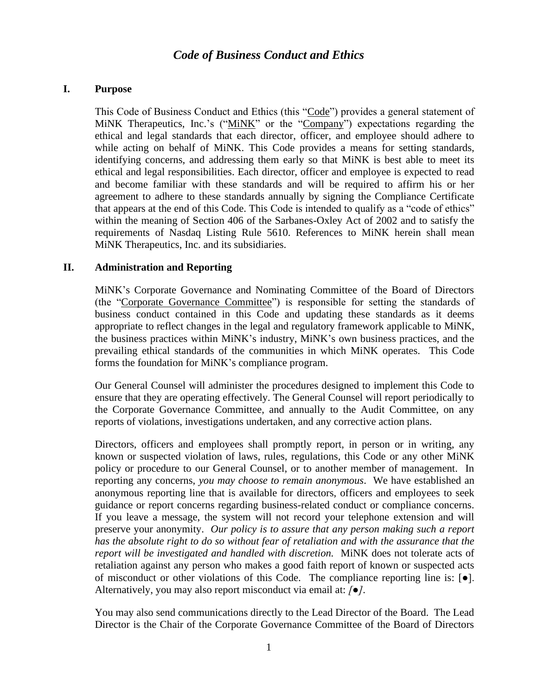# *Code of Business Conduct and Ethics*

### **I. Purpose**

This Code of Business Conduct and Ethics (this "Code") provides a general statement of MiNK Therapeutics, Inc.'s ("MiNK" or the "Company") expectations regarding the ethical and legal standards that each director, officer, and employee should adhere to while acting on behalf of MiNK. This Code provides a means for setting standards, identifying concerns, and addressing them early so that MiNK is best able to meet its ethical and legal responsibilities. Each director, officer and employee is expected to read and become familiar with these standards and will be required to affirm his or her agreement to adhere to these standards annually by signing the Compliance Certificate that appears at the end of this Code. This Code is intended to qualify as a "code of ethics" within the meaning of Section 406 of the Sarbanes-Oxley Act of 2002 and to satisfy the requirements of Nasdaq Listing Rule 5610. References to MiNK herein shall mean MiNK Therapeutics, Inc. and its subsidiaries.

### **II. Administration and Reporting**

MiNK's Corporate Governance and Nominating Committee of the Board of Directors (the "Corporate Governance Committee") is responsible for setting the standards of business conduct contained in this Code and updating these standards as it deems appropriate to reflect changes in the legal and regulatory framework applicable to MiNK, the business practices within MiNK's industry, MiNK's own business practices, and the prevailing ethical standards of the communities in which MiNK operates. This Code forms the foundation for MiNK's compliance program.

Our General Counsel will administer the procedures designed to implement this Code to ensure that they are operating effectively. The General Counsel will report periodically to the Corporate Governance Committee, and annually to the Audit Committee, on any reports of violations, investigations undertaken, and any corrective action plans.

Directors, officers and employees shall promptly report, in person or in writing, any known or suspected violation of laws, rules, regulations, this Code or any other MiNK policy or procedure to our General Counsel, or to another member of management. In reporting any concerns, *you may choose to remain anonymous*. We have established an anonymous reporting line that is available for directors, officers and employees to seek guidance or report concerns regarding business-related conduct or compliance concerns. If you leave a message, the system will not record your telephone extension and will preserve your anonymity. *Our policy is to assure that any person making such a report has the absolute right to do so without fear of retaliation and with the assurance that the report will be investigated and handled with discretion.* MiNK does not tolerate acts of retaliation against any person who makes a good faith report of known or suspected acts of misconduct or other violations of this Code. The compliance reporting line is:  $[\bullet]$ . Alternatively, you may also report misconduct via email at: *[●]*.

You may also send communications directly to the Lead Director of the Board. The Lead Director is the Chair of the Corporate Governance Committee of the Board of Directors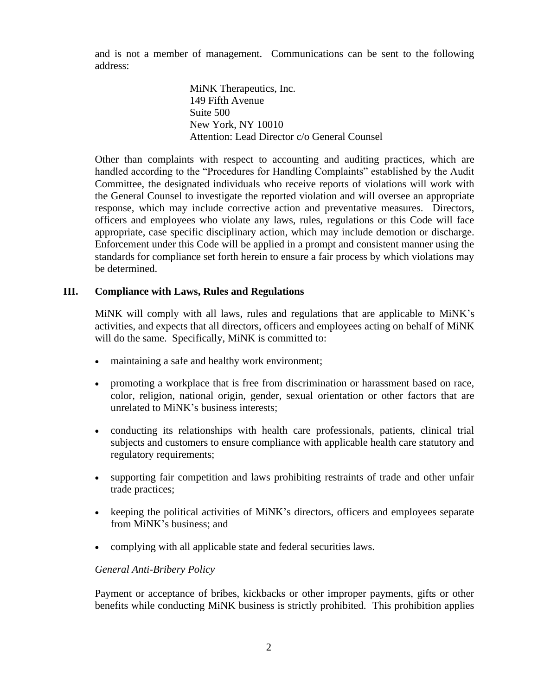and is not a member of management. Communications can be sent to the following address:

> MiNK Therapeutics, Inc. 149 Fifth Avenue Suite 500 New York, NY 10010 Attention: Lead Director c/o General Counsel

Other than complaints with respect to accounting and auditing practices, which are handled according to the "Procedures for Handling Complaints" established by the Audit Committee, the designated individuals who receive reports of violations will work with the General Counsel to investigate the reported violation and will oversee an appropriate response, which may include corrective action and preventative measures. Directors, officers and employees who violate any laws, rules, regulations or this Code will face appropriate, case specific disciplinary action, which may include demotion or discharge. Enforcement under this Code will be applied in a prompt and consistent manner using the standards for compliance set forth herein to ensure a fair process by which violations may be determined.

### **III. Compliance with Laws, Rules and Regulations**

MiNK will comply with all laws, rules and regulations that are applicable to MiNK's activities, and expects that all directors, officers and employees acting on behalf of MiNK will do the same. Specifically, MiNK is committed to:

- maintaining a safe and healthy work environment;
- promoting a workplace that is free from discrimination or harassment based on race, color, religion, national origin, gender, sexual orientation or other factors that are unrelated to MiNK's business interests;
- conducting its relationships with health care professionals, patients, clinical trial subjects and customers to ensure compliance with applicable health care statutory and regulatory requirements;
- supporting fair competition and laws prohibiting restraints of trade and other unfair trade practices;
- keeping the political activities of MiNK's directors, officers and employees separate from MiNK's business; and
- complying with all applicable state and federal securities laws.

# *General Anti-Bribery Policy*

Payment or acceptance of bribes, kickbacks or other improper payments, gifts or other benefits while conducting MiNK business is strictly prohibited. This prohibition applies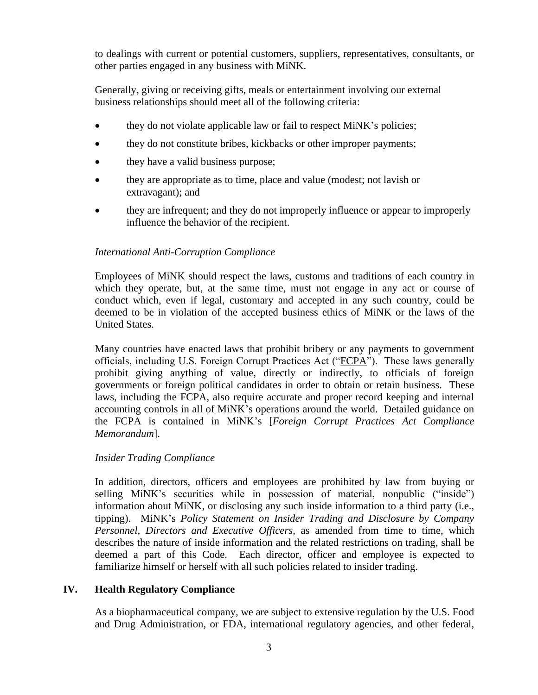to dealings with current or potential customers, suppliers, representatives, consultants, or other parties engaged in any business with MiNK.

Generally, giving or receiving gifts, meals or entertainment involving our external business relationships should meet all of the following criteria:

- they do not violate applicable law or fail to respect MiNK's policies;
- they do not constitute bribes, kickbacks or other improper payments;
- they have a valid business purpose;
- they are appropriate as to time, place and value (modest; not lavish or extravagant); and
- they are infrequent; and they do not improperly influence or appear to improperly influence the behavior of the recipient.

### *International Anti-Corruption Compliance*

Employees of MiNK should respect the laws, customs and traditions of each country in which they operate, but, at the same time, must not engage in any act or course of conduct which, even if legal, customary and accepted in any such country, could be deemed to be in violation of the accepted business ethics of MiNK or the laws of the United States.

Many countries have enacted laws that prohibit bribery or any payments to government officials, including U.S. Foreign Corrupt Practices Act ("FCPA"). These laws generally prohibit giving anything of value, directly or indirectly, to officials of foreign governments or foreign political candidates in order to obtain or retain business. These laws, including the FCPA, also require accurate and proper record keeping and internal accounting controls in all of MiNK's operations around the world. Detailed guidance on the FCPA is contained in MiNK's [*Foreign Corrupt Practices Act Compliance Memorandum*].

### *Insider Trading Compliance*

In addition, directors, officers and employees are prohibited by law from buying or selling MiNK's securities while in possession of material, nonpublic ("inside") information about MiNK, or disclosing any such inside information to a third party (i.e., tipping). MiNK's *Policy Statement on Insider Trading and Disclosure by Company Personnel, Directors and Executive Officers*, as amended from time to time, which describes the nature of inside information and the related restrictions on trading, shall be deemed a part of this Code. Each director, officer and employee is expected to familiarize himself or herself with all such policies related to insider trading.

# **IV. Health Regulatory Compliance**

As a biopharmaceutical company, we are subject to extensive regulation by the U.S. Food and Drug Administration, or FDA, international regulatory agencies, and other federal,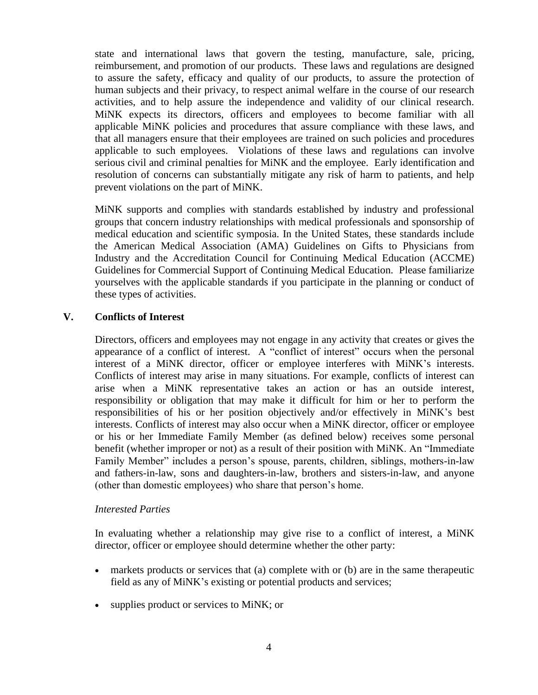state and international laws that govern the testing, manufacture, sale, pricing, reimbursement, and promotion of our products. These laws and regulations are designed to assure the safety, efficacy and quality of our products, to assure the protection of human subjects and their privacy, to respect animal welfare in the course of our research activities, and to help assure the independence and validity of our clinical research. MiNK expects its directors, officers and employees to become familiar with all applicable MiNK policies and procedures that assure compliance with these laws, and that all managers ensure that their employees are trained on such policies and procedures applicable to such employees. Violations of these laws and regulations can involve serious civil and criminal penalties for MiNK and the employee. Early identification and resolution of concerns can substantially mitigate any risk of harm to patients, and help prevent violations on the part of MiNK.

MiNK supports and complies with standards established by industry and professional groups that concern industry relationships with medical professionals and sponsorship of medical education and scientific symposia. In the United States, these standards include the American Medical Association (AMA) Guidelines on Gifts to Physicians from Industry and the Accreditation Council for Continuing Medical Education (ACCME) Guidelines for Commercial Support of Continuing Medical Education. Please familiarize yourselves with the applicable standards if you participate in the planning or conduct of these types of activities.

# **V. Conflicts of Interest**

Directors, officers and employees may not engage in any activity that creates or gives the appearance of a conflict of interest. A "conflict of interest" occurs when the personal interest of a MiNK director, officer or employee interferes with MiNK's interests. Conflicts of interest may arise in many situations. For example, conflicts of interest can arise when a MiNK representative takes an action or has an outside interest, responsibility or obligation that may make it difficult for him or her to perform the responsibilities of his or her position objectively and/or effectively in MiNK's best interests. Conflicts of interest may also occur when a MiNK director, officer or employee or his or her Immediate Family Member (as defined below) receives some personal benefit (whether improper or not) as a result of their position with MiNK. An "Immediate Family Member" includes a person's spouse, parents, children, siblings, mothers-in-law and fathers-in-law, sons and daughters-in-law, brothers and sisters-in-law, and anyone (other than domestic employees) who share that person's home.

### *Interested Parties*

In evaluating whether a relationship may give rise to a conflict of interest, a MiNK director, officer or employee should determine whether the other party:

- markets products or services that (a) complete with or (b) are in the same therapeutic field as any of MiNK's existing or potential products and services;
- supplies product or services to MiNK; or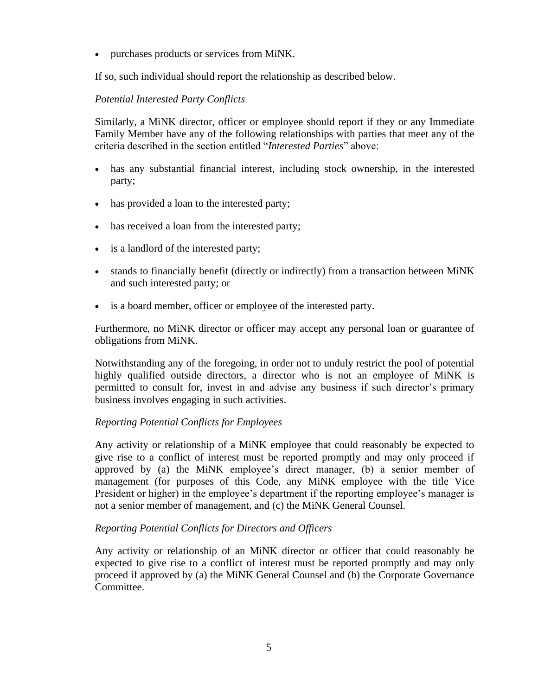• purchases products or services from MiNK.

If so, such individual should report the relationship as described below.

# *Potential Interested Party Conflicts*

Similarly, a MiNK director, officer or employee should report if they or any Immediate Family Member have any of the following relationships with parties that meet any of the criteria described in the section entitled "*Interested Parties*" above:

- has any substantial financial interest, including stock ownership, in the interested party;
- has provided a loan to the interested party;
- has received a loan from the interested party;
- is a landlord of the interested party;
- stands to financially benefit (directly or indirectly) from a transaction between MiNK and such interested party; or
- is a board member, officer or employee of the interested party.

Furthermore, no MiNK director or officer may accept any personal loan or guarantee of obligations from MiNK.

Notwithstanding any of the foregoing, in order not to unduly restrict the pool of potential highly qualified outside directors, a director who is not an employee of MiNK is permitted to consult for, invest in and advise any business if such director's primary business involves engaging in such activities.

# *Reporting Potential Conflicts for Employees*

Any activity or relationship of a MiNK employee that could reasonably be expected to give rise to a conflict of interest must be reported promptly and may only proceed if approved by (a) the MiNK employee's direct manager, (b) a senior member of management (for purposes of this Code, any MiNK employee with the title Vice President or higher) in the employee's department if the reporting employee's manager is not a senior member of management, and (c) the MiNK General Counsel.

# *Reporting Potential Conflicts for Directors and Officers*

Any activity or relationship of an MiNK director or officer that could reasonably be expected to give rise to a conflict of interest must be reported promptly and may only proceed if approved by (a) the MiNK General Counsel and (b) the Corporate Governance Committee.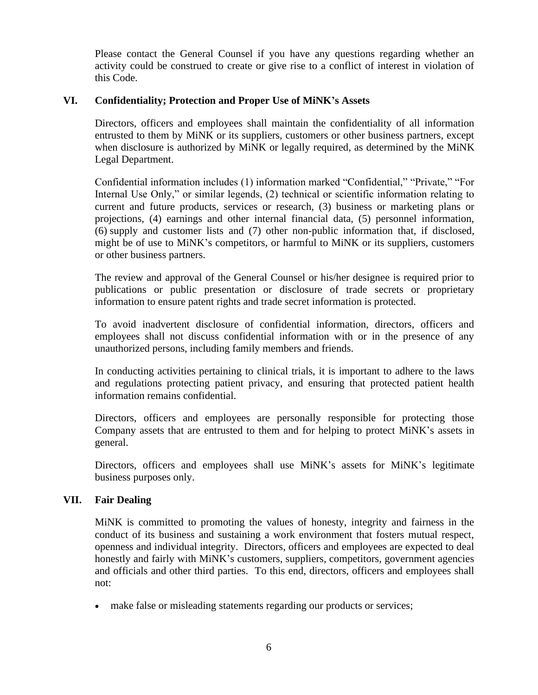Please contact the General Counsel if you have any questions regarding whether an activity could be construed to create or give rise to a conflict of interest in violation of this Code.

### **VI. Confidentiality; Protection and Proper Use of MiNK's Assets**

Directors, officers and employees shall maintain the confidentiality of all information entrusted to them by MiNK or its suppliers, customers or other business partners, except when disclosure is authorized by MiNK or legally required, as determined by the MiNK Legal Department.

Confidential information includes (1) information marked "Confidential," "Private," "For Internal Use Only," or similar legends, (2) technical or scientific information relating to current and future products, services or research, (3) business or marketing plans or projections, (4) earnings and other internal financial data, (5) personnel information, (6) supply and customer lists and (7) other non-public information that, if disclosed, might be of use to MiNK's competitors, or harmful to MiNK or its suppliers, customers or other business partners.

The review and approval of the General Counsel or his/her designee is required prior to publications or public presentation or disclosure of trade secrets or proprietary information to ensure patent rights and trade secret information is protected.

To avoid inadvertent disclosure of confidential information, directors, officers and employees shall not discuss confidential information with or in the presence of any unauthorized persons, including family members and friends.

In conducting activities pertaining to clinical trials, it is important to adhere to the laws and regulations protecting patient privacy, and ensuring that protected patient health information remains confidential.

Directors, officers and employees are personally responsible for protecting those Company assets that are entrusted to them and for helping to protect MiNK's assets in general.

Directors, officers and employees shall use MiNK's assets for MiNK's legitimate business purposes only.

### **VII. Fair Dealing**

MiNK is committed to promoting the values of honesty, integrity and fairness in the conduct of its business and sustaining a work environment that fosters mutual respect, openness and individual integrity. Directors, officers and employees are expected to deal honestly and fairly with MiNK's customers, suppliers, competitors, government agencies and officials and other third parties. To this end, directors, officers and employees shall not:

• make false or misleading statements regarding our products or services;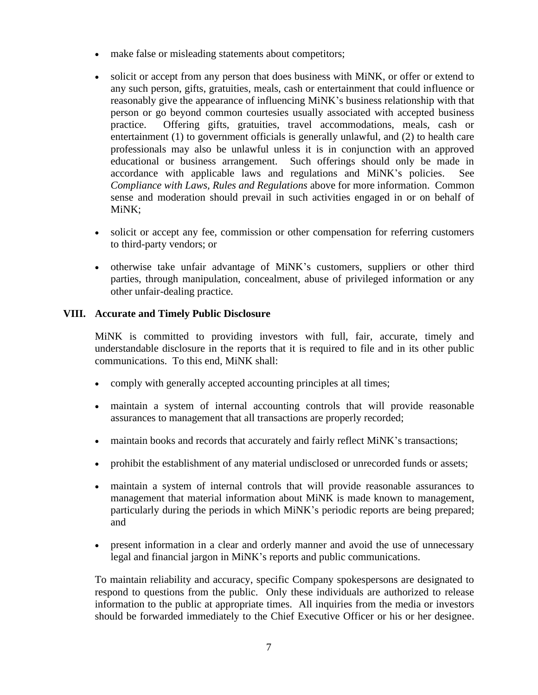- make false or misleading statements about competitors;
- solicit or accept from any person that does business with MiNK, or offer or extend to any such person, gifts, gratuities, meals, cash or entertainment that could influence or reasonably give the appearance of influencing MiNK's business relationship with that person or go beyond common courtesies usually associated with accepted business practice. Offering gifts, gratuities, travel accommodations, meals, cash or entertainment (1) to government officials is generally unlawful, and (2) to health care professionals may also be unlawful unless it is in conjunction with an approved educational or business arrangement. Such offerings should only be made in accordance with applicable laws and regulations and MiNK's policies. See *Compliance with Laws, Rules and Regulations* above for more information. Common sense and moderation should prevail in such activities engaged in or on behalf of MiNK;
- solicit or accept any fee, commission or other compensation for referring customers to third-party vendors; or
- otherwise take unfair advantage of MiNK's customers, suppliers or other third parties, through manipulation, concealment, abuse of privileged information or any other unfair-dealing practice.

### **VIII. Accurate and Timely Public Disclosure**

MiNK is committed to providing investors with full, fair, accurate, timely and understandable disclosure in the reports that it is required to file and in its other public communications. To this end, MiNK shall:

- comply with generally accepted accounting principles at all times;
- maintain a system of internal accounting controls that will provide reasonable assurances to management that all transactions are properly recorded;
- maintain books and records that accurately and fairly reflect MiNK's transactions;
- prohibit the establishment of any material undisclosed or unrecorded funds or assets;
- maintain a system of internal controls that will provide reasonable assurances to management that material information about MiNK is made known to management, particularly during the periods in which MiNK's periodic reports are being prepared; and
- present information in a clear and orderly manner and avoid the use of unnecessary legal and financial jargon in MiNK's reports and public communications.

To maintain reliability and accuracy, specific Company spokespersons are designated to respond to questions from the public. Only these individuals are authorized to release information to the public at appropriate times. All inquiries from the media or investors should be forwarded immediately to the Chief Executive Officer or his or her designee.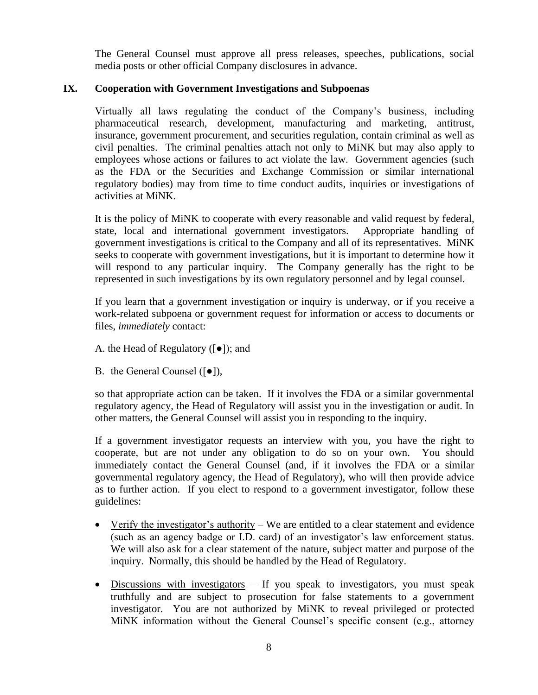The General Counsel must approve all press releases, speeches, publications, social media posts or other official Company disclosures in advance.

### **IX. Cooperation with Government Investigations and Subpoenas**

Virtually all laws regulating the conduct of the Company's business, including pharmaceutical research, development, manufacturing and marketing, antitrust, insurance, government procurement, and securities regulation, contain criminal as well as civil penalties. The criminal penalties attach not only to MiNK but may also apply to employees whose actions or failures to act violate the law. Government agencies (such as the FDA or the Securities and Exchange Commission or similar international regulatory bodies) may from time to time conduct audits, inquiries or investigations of activities at MiNK.

It is the policy of MiNK to cooperate with every reasonable and valid request by federal, state, local and international government investigators. Appropriate handling of government investigations is critical to the Company and all of its representatives. MiNK seeks to cooperate with government investigations, but it is important to determine how it will respond to any particular inquiry. The Company generally has the right to be represented in such investigations by its own regulatory personnel and by legal counsel.

If you learn that a government investigation or inquiry is underway, or if you receive a work-related subpoena or government request for information or access to documents or files, *immediately* contact:

- A. the Head of Regulatory ([●]); and
- B. the General Counsel  $(\lceil \bullet \rceil)$ ,

so that appropriate action can be taken. If it involves the FDA or a similar governmental regulatory agency, the Head of Regulatory will assist you in the investigation or audit. In other matters, the General Counsel will assist you in responding to the inquiry.

If a government investigator requests an interview with you, you have the right to cooperate, but are not under any obligation to do so on your own. You should immediately contact the General Counsel (and, if it involves the FDA or a similar governmental regulatory agency, the Head of Regulatory), who will then provide advice as to further action. If you elect to respond to a government investigator, follow these guidelines:

- Verify the investigator's authority We are entitled to a clear statement and evidence (such as an agency badge or I.D. card) of an investigator's law enforcement status. We will also ask for a clear statement of the nature, subject matter and purpose of the inquiry. Normally, this should be handled by the Head of Regulatory.
- Discussions with investigators If you speak to investigators, you must speak truthfully and are subject to prosecution for false statements to a government investigator. You are not authorized by MiNK to reveal privileged or protected MiNK information without the General Counsel's specific consent (e.g., attorney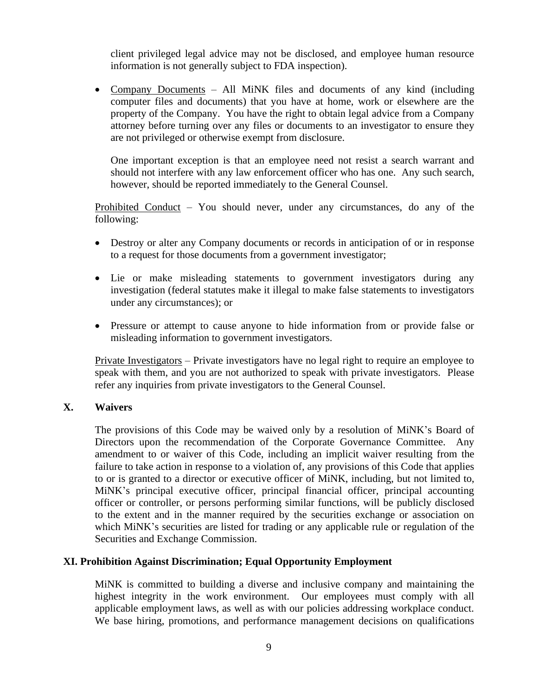client privileged legal advice may not be disclosed, and employee human resource information is not generally subject to FDA inspection).

• Company Documents – All MiNK files and documents of any kind (including computer files and documents) that you have at home, work or elsewhere are the property of the Company. You have the right to obtain legal advice from a Company attorney before turning over any files or documents to an investigator to ensure they are not privileged or otherwise exempt from disclosure.

One important exception is that an employee need not resist a search warrant and should not interfere with any law enforcement officer who has one. Any such search, however, should be reported immediately to the General Counsel.

Prohibited Conduct – You should never, under any circumstances, do any of the following:

- Destroy or alter any Company documents or records in anticipation of or in response to a request for those documents from a government investigator;
- Lie or make misleading statements to government investigators during any investigation (federal statutes make it illegal to make false statements to investigators under any circumstances); or
- Pressure or attempt to cause anyone to hide information from or provide false or misleading information to government investigators.

Private Investigators – Private investigators have no legal right to require an employee to speak with them, and you are not authorized to speak with private investigators. Please refer any inquiries from private investigators to the General Counsel.

### **X. Waivers**

The provisions of this Code may be waived only by a resolution of MiNK's Board of Directors upon the recommendation of the Corporate Governance Committee. Any amendment to or waiver of this Code, including an implicit waiver resulting from the failure to take action in response to a violation of, any provisions of this Code that applies to or is granted to a director or executive officer of MiNK, including, but not limited to, MiNK's principal executive officer, principal financial officer, principal accounting officer or controller, or persons performing similar functions, will be publicly disclosed to the extent and in the manner required by the securities exchange or association on which MiNK's securities are listed for trading or any applicable rule or regulation of the Securities and Exchange Commission.

### **XI. Prohibition Against Discrimination; Equal Opportunity Employment**

MiNK is committed to building a diverse and inclusive company and maintaining the highest integrity in the work environment. Our employees must comply with all applicable employment laws, as well as with our policies addressing workplace conduct. We base hiring, promotions, and performance management decisions on qualifications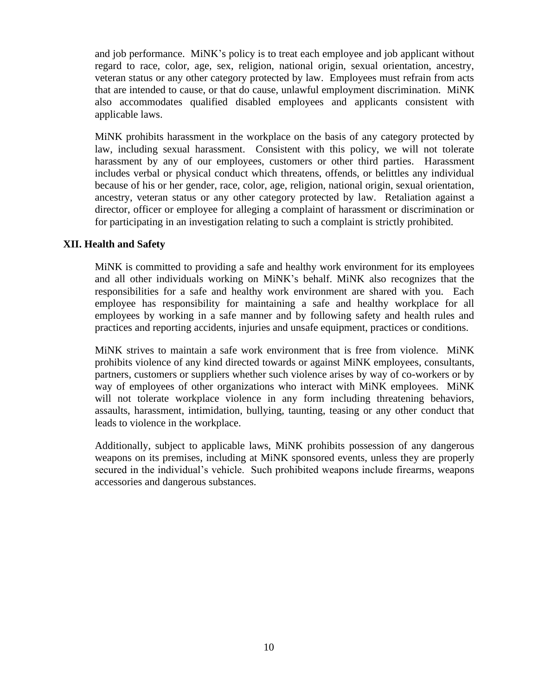and job performance. MiNK's policy is to treat each employee and job applicant without regard to race, color, age, sex, religion, national origin, sexual orientation, ancestry, veteran status or any other category protected by law. Employees must refrain from acts that are intended to cause, or that do cause, unlawful employment discrimination. MiNK also accommodates qualified disabled employees and applicants consistent with applicable laws.

MiNK prohibits harassment in the workplace on the basis of any category protected by law, including sexual harassment. Consistent with this policy, we will not tolerate harassment by any of our employees, customers or other third parties. Harassment includes verbal or physical conduct which threatens, offends, or belittles any individual because of his or her gender, race, color, age, religion, national origin, sexual orientation, ancestry, veteran status or any other category protected by law. Retaliation against a director, officer or employee for alleging a complaint of harassment or discrimination or for participating in an investigation relating to such a complaint is strictly prohibited.

### **XII. Health and Safety**

MiNK is committed to providing a safe and healthy work environment for its employees and all other individuals working on MiNK's behalf. MiNK also recognizes that the responsibilities for a safe and healthy work environment are shared with you. Each employee has responsibility for maintaining a safe and healthy workplace for all employees by working in a safe manner and by following safety and health rules and practices and reporting accidents, injuries and unsafe equipment, practices or conditions.

MiNK strives to maintain a safe work environment that is free from violence. MiNK prohibits violence of any kind directed towards or against MiNK employees, consultants, partners, customers or suppliers whether such violence arises by way of co-workers or by way of employees of other organizations who interact with MiNK employees. MiNK will not tolerate workplace violence in any form including threatening behaviors, assaults, harassment, intimidation, bullying, taunting, teasing or any other conduct that leads to violence in the workplace.

Additionally, subject to applicable laws, MiNK prohibits possession of any dangerous weapons on its premises, including at MiNK sponsored events, unless they are properly secured in the individual's vehicle. Such prohibited weapons include firearms, weapons accessories and dangerous substances.